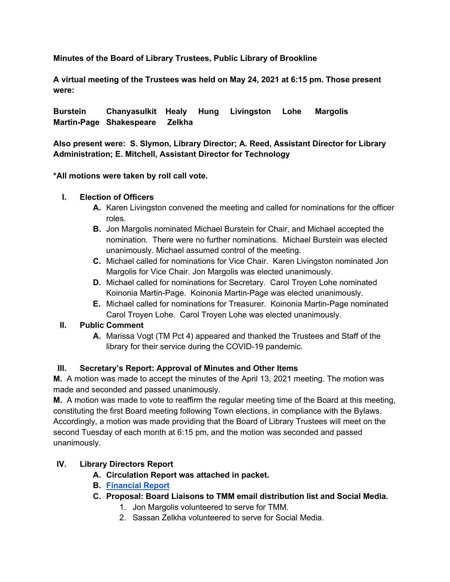**Minutes of the Board of Library Trustees, Public Library of Brookline** 

**A virtual meeting of the Trustees was held on May 24, 2021 at 6:15 pm. Those present were:**

**Burstein Chanyasulkit Healy Hung Livingston Lohe Margolis Martin-Page Shakespeare Zelkha**

**Also present were: S. Slymon, Library Director; A. Reed, Assistant Director for Library Administration; E. Mitchell, Assistant Director for Technology**

**\*All motions were taken by roll call vote.**

# **I. Election of Officers**

- **A.** Karen Livingston convened the meeting and called for nominations for the officer roles.
- **B.** Jon Margolis nominated Michael Burstein for Chair, and Michael accepted the nomination. There were no further nominations. Michael Burstein was elected unanimously. Michael assumed control of the meeting.
- **C.** Michael called for nominations for Vice Chair. Karen Livingston nominated Jon Margolis for Vice Chair. Jon Margolis was elected unanimously.
- **D.** Michael called for nominations for Secretary. Carol Troyen Lohe nominated Koinonia Martin-Page. Koinonia Martin-Page was elected unanimously.
- **E.** Michael called for nominations for Treasurer. Koinonia Martin-Page nominated Carol Troyen Lohe. Carol Troyen Lohe was elected unanimously.

# **II. Public Comment**

**A.** Marissa Vogt (TM Pct 4) appeared and thanked the Trustees and Staff of the library for their service during the COVID-19 pandemic.

# **III. Secretary's Report: Approval of Minutes and Other Items**

**M.** A motion was made to accept the minutes of the April 13, 2021 meeting. The motion was made and seconded and passed unanimously.

**M.** A motion was made to vote to reaffirm the regular meeting time of the Board at this meeting, constituting the first Board meeting following Town elections, in compliance with the Bylaws. Accordingly, a motion was made providing that the Board of Library Trustees will meet on the second Tuesday of each month at 6:15 pm, and the motion was seconded and passed unanimously.

# **IV. Library Directors Report**

- **A. Circulation Report was attached in packet.**
- **B. Financial Report**
- **C. Proposal: Board Liaisons to TMM email distribution list and Social Media.**
	- 1. Jon Margolis volunteered to serve for TMM.
	- 2. Sassan Zelkha volunteered to serve for Social Media.